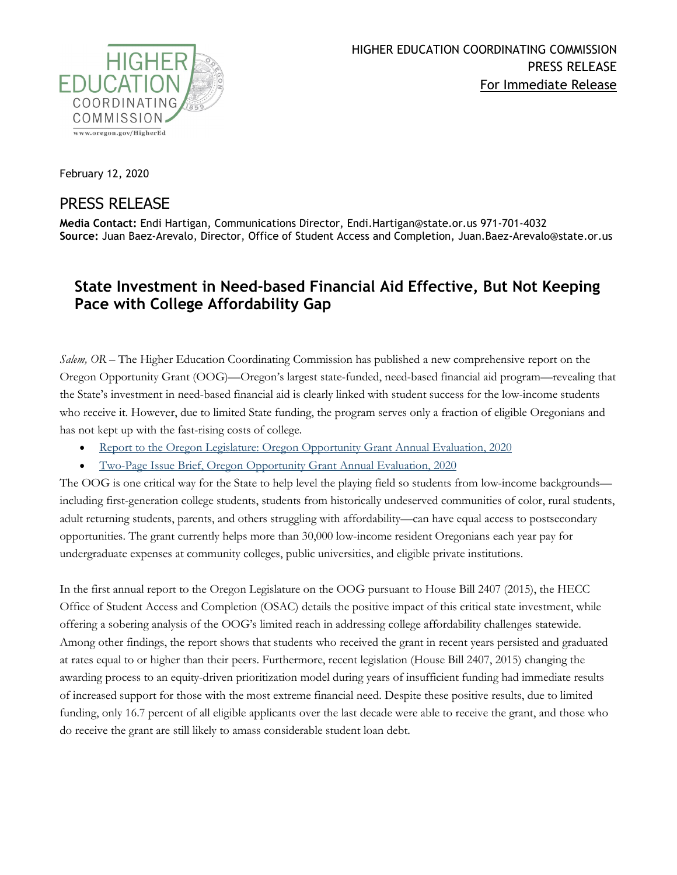

February 12, 2020

## PRESS RELEASE

**Media Contact:** Endi Hartigan, Communications Director, Endi.Hartigan@state.or.us 971-701-4032 **Source:** Juan Baez-Arevalo, Director, Office of Student Access and Completion, Juan.Baez-Arevalo@state.or.us

## **State Investment in Need-based Financial Aid Effective, But Not Keeping Pace with College Affordability Gap**

*Salem, OR –* The Higher Education Coordinating Commission has published a new comprehensive report on the Oregon Opportunity Grant (OOG)—Oregon's largest state-funded, need-based financial aid program—revealing that the State's investment in need-based financial aid is clearly linked with student success for the low-income students who receive it. However, due to limited State funding, the program serves only a fraction of eligible Oregonians and has not kept up with the fast-rising costs of college.

- [Report to the Oregon Legislature: Oregon Opportunity Grant Annual Evaluation, 2020](https://www.oregon.gov/highered/research/Documents/Legislative/Oregon-Opportunity-Grant-2020-Evaluation.pdf)
- [Two-Page Issue Brief, Oregon Opportunity Grant Annual Evaluation, 2020](https://www.oregon.gov/highered/research/Documents/Legislative/Oregon-Opportunity-Grant-Issue-Brief.pdf)

The OOG is one critical way for the State to help level the playing field so students from low-income backgrounds including first-generation college students, students from historically undeserved communities of color, rural students, adult returning students, parents, and others struggling with affordability—can have equal access to postsecondary opportunities. The grant currently helps more than 30,000 low-income resident Oregonians each year pay for undergraduate expenses at community colleges, public universities, and eligible private institutions.

In the first annual report to the Oregon Legislature on the OOG pursuant to House Bill 2407 (2015), the HECC Office of Student Access and Completion (OSAC) details the positive impact of this critical state investment, while offering a sobering analysis of the OOG's limited reach in addressing college affordability challenges statewide. Among other findings, the report shows that students who received the grant in recent years persisted and graduated at rates equal to or higher than their peers. Furthermore, recent legislation (House Bill 2407, 2015) changing the awarding process to an equity-driven prioritization model during years of insufficient funding had immediate results of increased support for those with the most extreme financial need. Despite these positive results, due to limited funding, only 16.7 percent of all eligible applicants over the last decade were able to receive the grant, and those who do receive the grant are still likely to amass considerable student loan debt.